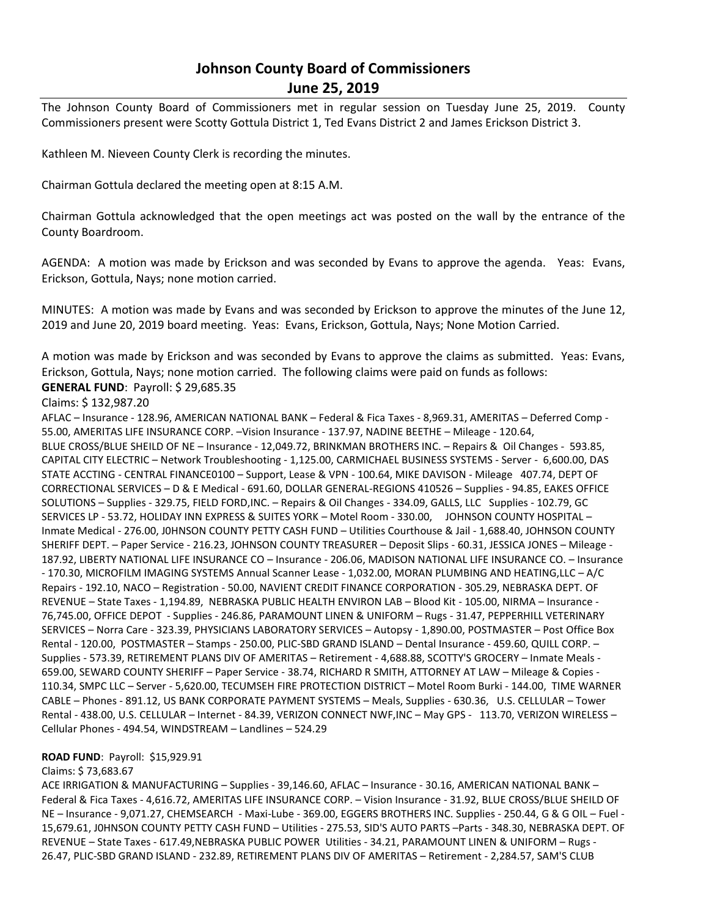# **Johnson County Board of Commissioners June 25, 2019**

The Johnson County Board of Commissioners met in regular session on Tuesday June 25, 2019. County Commissioners present were Scotty Gottula District 1, Ted Evans District 2 and James Erickson District 3.

Kathleen M. Nieveen County Clerk is recording the minutes.

Chairman Gottula declared the meeting open at 8:15 A.M.

Chairman Gottula acknowledged that the open meetings act was posted on the wall by the entrance of the County Boardroom.

AGENDA: A motion was made by Erickson and was seconded by Evans to approve the agenda. Yeas: Evans, Erickson, Gottula, Nays; none motion carried.

MINUTES: A motion was made by Evans and was seconded by Erickson to approve the minutes of the June 12, 2019 and June 20, 2019 board meeting. Yeas: Evans, Erickson, Gottula, Nays; None Motion Carried.

A motion was made by Erickson and was seconded by Evans to approve the claims as submitted. Yeas: Evans, Erickson, Gottula, Nays; none motion carried. The following claims were paid on funds as follows: **GENERAL FUND**: Payroll: \$ 29,685.35

## Claims: \$ 132,987.20

AFLAC – Insurance - 128.96, AMERICAN NATIONAL BANK – Federal & Fica Taxes - 8,969.31, AMERITAS – Deferred Comp - 55.00, AMERITAS LIFE INSURANCE CORP. –Vision Insurance - 137.97, NADINE BEETHE – Mileage - 120.64, BLUE CROSS/BLUE SHEILD OF NE – Insurance - 12,049.72, BRINKMAN BROTHERS INC. – Repairs & Oil Changes - 593.85, CAPITAL CITY ELECTRIC – Network Troubleshooting - 1,125.00, CARMICHAEL BUSINESS SYSTEMS - Server - 6,600.00, DAS STATE ACCTING - CENTRAL FINANCE0100 – Support, Lease & VPN - 100.64, MIKE DAVISON - Mileage 407.74, DEPT OF CORRECTIONAL SERVICES – D & E Medical - 691.60, DOLLAR GENERAL-REGIONS 410526 – Supplies - 94.85, EAKES OFFICE SOLUTIONS – Supplies - 329.75, FIELD FORD,INC. – Repairs & Oil Changes - 334.09, GALLS, LLC Supplies - 102.79, GC SERVICES LP - 53.72, HOLIDAY INN EXPRESS & SUITES YORK – Motel Room - 330.00, JOHNSON COUNTY HOSPITAL – Inmate Medical - 276.00, J0HNSON COUNTY PETTY CASH FUND – Utilities Courthouse & Jail - 1,688.40, JOHNSON COUNTY SHERIFF DEPT. – Paper Service - 216.23, JOHNSON COUNTY TREASURER – Deposit Slips - 60.31, JESSICA JONES – Mileage - 187.92, LIBERTY NATIONAL LIFE INSURANCE CO – Insurance - 206.06, MADISON NATIONAL LIFE INSURANCE CO. – Insurance - 170.30, MICROFILM IMAGING SYSTEMS Annual Scanner Lease - 1,032.00, MORAN PLUMBING AND HEATING,LLC – A/C Repairs - 192.10, NACO – Registration - 50.00, NAVIENT CREDIT FINANCE CORPORATION - 305.29, NEBRASKA DEPT. OF REVENUE – State Taxes - 1,194.89, NEBRASKA PUBLIC HEALTH ENVIRON LAB – Blood Kit - 105.00, NIRMA – Insurance - 76,745.00, OFFICE DEPOT - Supplies - 246.86, PARAMOUNT LINEN & UNIFORM – Rugs - 31.47, PEPPERHILL VETERINARY SERVICES – Norra Care - 323.39, PHYSICIANS LABORATORY SERVICES – Autopsy - 1,890.00, POSTMASTER – Post Office Box Rental - 120.00, POSTMASTER – Stamps - 250.00, PLIC-SBD GRAND ISLAND – Dental Insurance - 459.60, QUILL CORP. – Supplies - 573.39, RETIREMENT PLANS DIV OF AMERITAS – Retirement - 4,688.88, SCOTTY'S GROCERY – Inmate Meals - 659.00, SEWARD COUNTY SHERIFF – Paper Service - 38.74, RICHARD R SMITH, ATTORNEY AT LAW – Mileage & Copies - 110.34, SMPC LLC – Server - 5,620.00, TECUMSEH FIRE PROTECTION DISTRICT – Motel Room Burki - 144.00, TIME WARNER CABLE – Phones - 891.12, US BANK CORPORATE PAYMENT SYSTEMS – Meals, Supplies - 630.36, U.S. CELLULAR – Tower Rental - 438.00, U.S. CELLULAR – Internet - 84.39, VERIZON CONNECT NWF,INC – May GPS - 113.70, VERIZON WIRELESS – Cellular Phones - 494.54, WINDSTREAM – Landlines – 524.29

## **ROAD FUND**: Payroll: \$15,929.91

#### Claims: \$ 73,683.67

ACE IRRIGATION & MANUFACTURING – Supplies - 39,146.60, AFLAC – Insurance - 30.16, AMERICAN NATIONAL BANK – Federal & Fica Taxes - 4,616.72, AMERITAS LIFE INSURANCE CORP. – Vision Insurance - 31.92, BLUE CROSS/BLUE SHEILD OF NE – Insurance - 9,071.27, CHEMSEARCH - Maxi-Lube - 369.00, EGGERS BROTHERS INC. Supplies - 250.44, G & G OIL – Fuel - 15,679.61, J0HNSON COUNTY PETTY CASH FUND – Utilities - 275.53, SID'S AUTO PARTS –Parts - 348.30, NEBRASKA DEPT. OF REVENUE – State Taxes - 617.49,NEBRASKA PUBLIC POWER Utilities - 34.21, PARAMOUNT LINEN & UNIFORM – Rugs - 26.47, PLIC-SBD GRAND ISLAND - 232.89, RETIREMENT PLANS DIV OF AMERITAS – Retirement - 2,284.57, SAM'S CLUB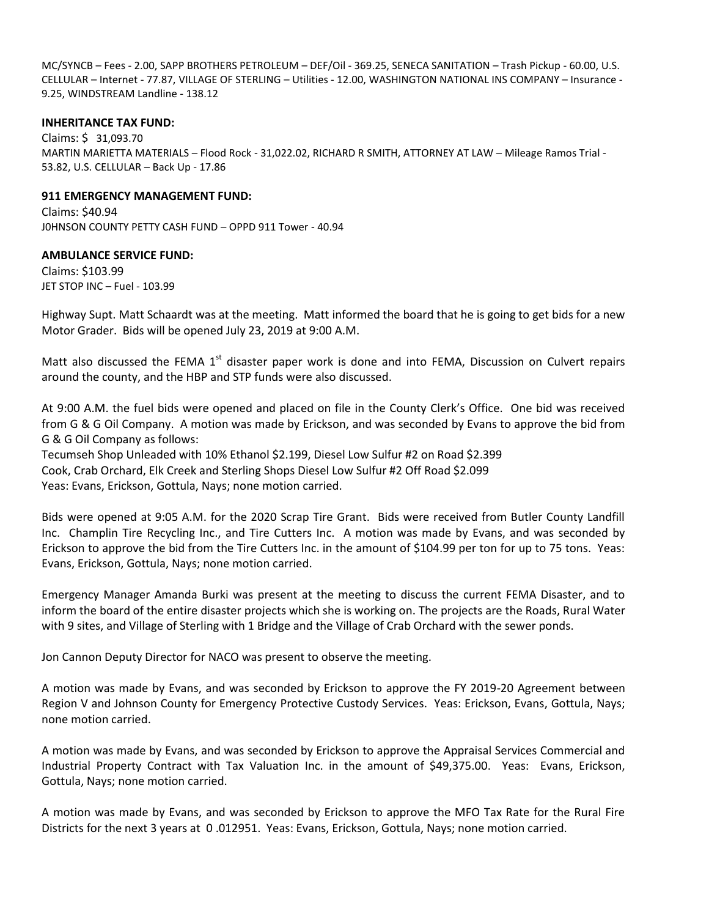MC/SYNCB – Fees - 2.00, SAPP BROTHERS PETROLEUM – DEF/Oil - 369.25, SENECA SANITATION – Trash Pickup - 60.00, U.S. CELLULAR – Internet - 77.87, VILLAGE OF STERLING – Utilities - 12.00, WASHINGTON NATIONAL INS COMPANY – Insurance - 9.25, WINDSTREAM Landline - 138.12

### **INHERITANCE TAX FUND:**

Claims: \$ 31,093.70 MARTIN MARIETTA MATERIALS – Flood Rock - 31,022.02, RICHARD R SMITH, ATTORNEY AT LAW – Mileage Ramos Trial - 53.82, U.S. CELLULAR – Back Up - 17.86

#### **911 EMERGENCY MANAGEMENT FUND:**

Claims: \$40.94 J0HNSON COUNTY PETTY CASH FUND – OPPD 911 Tower - 40.94

## **AMBULANCE SERVICE FUND:**

Claims: \$103.99 JET STOP INC – Fuel - 103.99

Highway Supt. Matt Schaardt was at the meeting. Matt informed the board that he is going to get bids for a new Motor Grader. Bids will be opened July 23, 2019 at 9:00 A.M.

Matt also discussed the FEMA 1<sup>st</sup> disaster paper work is done and into FEMA, Discussion on Culvert repairs around the county, and the HBP and STP funds were also discussed.

At 9:00 A.M. the fuel bids were opened and placed on file in the County Clerk's Office. One bid was received from G & G Oil Company. A motion was made by Erickson, and was seconded by Evans to approve the bid from G & G Oil Company as follows:

Tecumseh Shop Unleaded with 10% Ethanol \$2.199, Diesel Low Sulfur #2 on Road \$2.399 Cook, Crab Orchard, Elk Creek and Sterling Shops Diesel Low Sulfur #2 Off Road \$2.099 Yeas: Evans, Erickson, Gottula, Nays; none motion carried.

Bids were opened at 9:05 A.M. for the 2020 Scrap Tire Grant. Bids were received from Butler County Landfill Inc. Champlin Tire Recycling Inc., and Tire Cutters Inc. A motion was made by Evans, and was seconded by Erickson to approve the bid from the Tire Cutters Inc. in the amount of \$104.99 per ton for up to 75 tons. Yeas: Evans, Erickson, Gottula, Nays; none motion carried.

Emergency Manager Amanda Burki was present at the meeting to discuss the current FEMA Disaster, and to inform the board of the entire disaster projects which she is working on. The projects are the Roads, Rural Water with 9 sites, and Village of Sterling with 1 Bridge and the Village of Crab Orchard with the sewer ponds.

Jon Cannon Deputy Director for NACO was present to observe the meeting.

A motion was made by Evans, and was seconded by Erickson to approve the FY 2019-20 Agreement between Region V and Johnson County for Emergency Protective Custody Services. Yeas: Erickson, Evans, Gottula, Nays; none motion carried.

A motion was made by Evans, and was seconded by Erickson to approve the Appraisal Services Commercial and Industrial Property Contract with Tax Valuation Inc. in the amount of \$49,375.00. Yeas: Evans, Erickson, Gottula, Nays; none motion carried.

A motion was made by Evans, and was seconded by Erickson to approve the MFO Tax Rate for the Rural Fire Districts for the next 3 years at 0 .012951. Yeas: Evans, Erickson, Gottula, Nays; none motion carried.